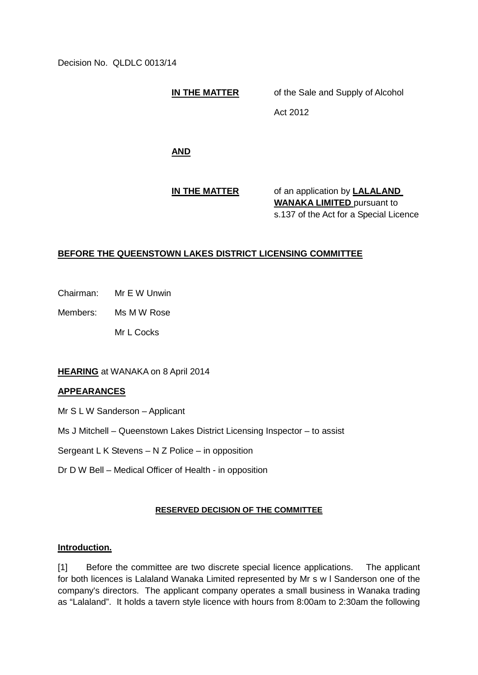Decision No. QLDLC 0013/14

**IN THE MATTER** of the Sale and Supply of Alcohol

Act 2012

**AND**

**IN THE MATTER** of an application by **LALALAND WANAKA LIMITED** pursuant to s.137 of the Act for a Special Licence

# **BEFORE THE QUEENSTOWN LAKES DISTRICT LICENSING COMMITTEE**

Chairman: Mr E W Unwin

Members: Ms M W Rose

Mr L Cocks

## **HEARING** at WANAKA on 8 April 2014

### **APPEARANCES**

Mr S L W Sanderson – Applicant

- Ms J Mitchell Queenstown Lakes District Licensing Inspector to assist
- Sergeant L K Stevens N Z Police in opposition
- Dr D W Bell Medical Officer of Health in opposition

## **RESERVED DECISION OF THE COMMITTEE**

### **Introduction.**

[1] Before the committee are two discrete special licence applications. The applicant for both licences is Lalaland Wanaka Limited represented by Mr s w l Sanderson one of the company's directors. The applicant company operates a small business in Wanaka trading as "Lalaland". It holds a tavern style licence with hours from 8:00am to 2:30am the following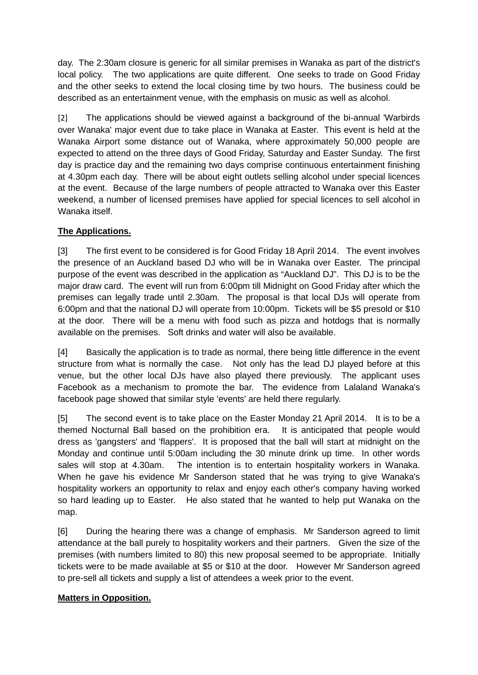day. The 2:30am closure is generic for all similar premises in Wanaka as part of the district's local policy. The two applications are quite different. One seeks to trade on Good Friday and the other seeks to extend the local closing time by two hours. The business could be described as an entertainment venue, with the emphasis on music as well as alcohol.

[2] The applications should be viewed against a background of the bi-annual 'Warbirds over Wanaka' major event due to take place in Wanaka at Easter. This event is held at the Wanaka Airport some distance out of Wanaka, where approximately 50,000 people are expected to attend on the three days of Good Friday, Saturday and Easter Sunday. The first day is practice day and the remaining two days comprise continuous entertainment finishing at 4.30pm each day. There will be about eight outlets selling alcohol under special licences at the event. Because of the large numbers of people attracted to Wanaka over this Easter weekend, a number of licensed premises have applied for special licences to sell alcohol in Wanaka itself.

# **The Applications.**

[3] The first event to be considered is for Good Friday 18 April 2014. The event involves the presence of an Auckland based DJ who will be in Wanaka over Easter. The principal purpose of the event was described in the application as "Auckland DJ". This DJ is to be the major draw card. The event will run from 6:00pm till Midnight on Good Friday after which the premises can legally trade until 2.30am. The proposal is that local DJs will operate from 6:00pm and that the national DJ will operate from 10:00pm. Tickets will be \$5 presold or \$10 at the door. There will be a menu with food such as pizza and hotdogs that is normally available on the premises. Soft drinks and water will also be available.

[4] Basically the application is to trade as normal, there being little difference in the event structure from what is normally the case. Not only has the lead DJ played before at this venue, but the other local DJs have also played there previously. The applicant uses Facebook as a mechanism to promote the bar. The evidence from Lalaland Wanaka's facebook page showed that similar style 'events' are held there regularly.

[5] The second event is to take place on the Easter Monday 21 April 2014. It is to be a themed Nocturnal Ball based on the prohibition era. It is anticipated that people would dress as 'gangsters' and 'flappers'. It is proposed that the ball will start at midnight on the Monday and continue until 5:00am including the 30 minute drink up time. In other words sales will stop at 4.30am. The intention is to entertain hospitality workers in Wanaka. When he gave his evidence Mr Sanderson stated that he was trying to give Wanaka's hospitality workers an opportunity to relax and enjoy each other's company having worked so hard leading up to Easter. He also stated that he wanted to help put Wanaka on the map.

[6] During the hearing there was a change of emphasis. Mr Sanderson agreed to limit attendance at the ball purely to hospitality workers and their partners. Given the size of the premises (with numbers limited to 80) this new proposal seemed to be appropriate. Initially tickets were to be made available at \$5 or \$10 at the door. However Mr Sanderson agreed to pre-sell all tickets and supply a list of attendees a week prior to the event.

## **Matters in Opposition.**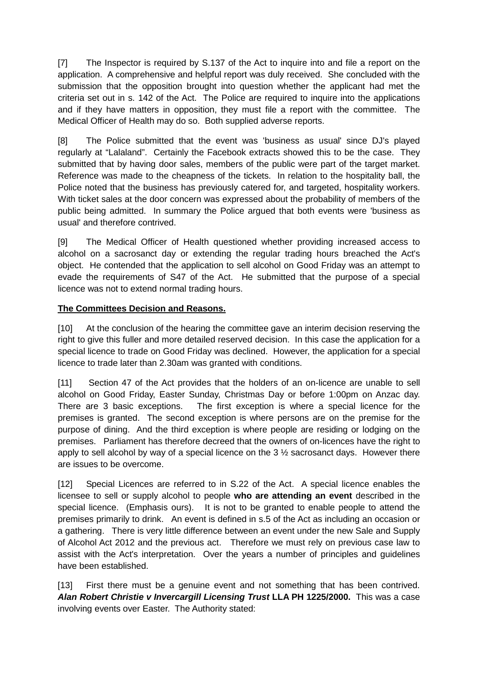[7] The Inspector is required by S.137 of the Act to inquire into and file a report on the application. A comprehensive and helpful report was duly received. She concluded with the submission that the opposition brought into question whether the applicant had met the criteria set out in s. 142 of the Act. The Police are required to inquire into the applications and if they have matters in opposition, they must file a report with the committee. The Medical Officer of Health may do so. Both supplied adverse reports.

[8] The Police submitted that the event was 'business as usual' since DJ's played regularly at "Lalaland". Certainly the Facebook extracts showed this to be the case. They submitted that by having door sales, members of the public were part of the target market. Reference was made to the cheapness of the tickets. In relation to the hospitality ball, the Police noted that the business has previously catered for, and targeted, hospitality workers. With ticket sales at the door concern was expressed about the probability of members of the public being admitted. In summary the Police argued that both events were 'business as usual' and therefore contrived.

[9] The Medical Officer of Health questioned whether providing increased access to alcohol on a sacrosanct day or extending the regular trading hours breached the Act's object. He contended that the application to sell alcohol on Good Friday was an attempt to evade the requirements of S47 of the Act. He submitted that the purpose of a special licence was not to extend normal trading hours.

# **The Committees Decision and Reasons.**

[10] At the conclusion of the hearing the committee gave an interim decision reserving the right to give this fuller and more detailed reserved decision. In this case the application for a special licence to trade on Good Friday was declined. However, the application for a special licence to trade later than 2.30am was granted with conditions.

[11] Section 47 of the Act provides that the holders of an on-licence are unable to sell alcohol on Good Friday, Easter Sunday, Christmas Day or before 1:00pm on Anzac day. There are 3 basic exceptions. The first exception is where a special licence for the premises is granted. The second exception is where persons are on the premise for the purpose of dining. And the third exception is where people are residing or lodging on the premises. Parliament has therefore decreed that the owners of on-licences have the right to apply to sell alcohol by way of a special licence on the 3 ½ sacrosanct days. However there are issues to be overcome.

[12] Special Licences are referred to in S.22 of the Act. A special licence enables the licensee to sell or supply alcohol to people **who are attending an event** described in the special licence. (Emphasis ours). It is not to be granted to enable people to attend the premises primarily to drink. An event is defined in s.5 of the Act as including an occasion or a gathering. There is very little difference between an event under the new Sale and Supply of Alcohol Act 2012 and the previous act. Therefore we must rely on previous case law to assist with the Act's interpretation. Over the years a number of principles and guidelines have been established.

[13] First there must be a genuine event and not something that has been contrived. *Alan Robert Christie v Invercargill Licensing Trust* **LLA PH 1225/2000.** This was a case involving events over Easter. The Authority stated: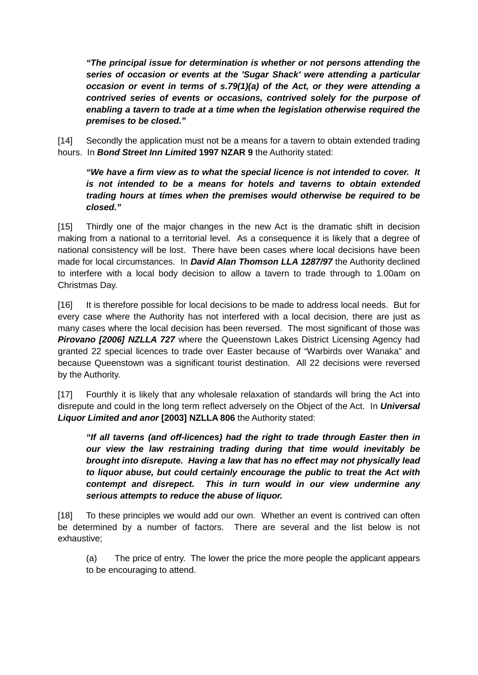*"The principal issue for determination is whether or not persons attending the series of occasion or events at the 'Sugar Shack' were attending a particular occasion or event in terms of s.79(1)(a) of the Act, or they were attending a contrived series of events or occasions, contrived solely for the purpose of enabling a tavern to trade at a time when the legislation otherwise required the premises to be closed."*

[14] Secondly the application must not be a means for a tavern to obtain extended trading hours. In *Bond Street Inn Limited* **1997 NZAR 9** the Authority stated:

## *"We have a firm view as to what the special licence is not intended to cover. It is not intended to be a means for hotels and taverns to obtain extended trading hours at times when the premises would otherwise be required to be closed."*

[15] Thirdly one of the major changes in the new Act is the dramatic shift in decision making from a national to a territorial level. As a consequence it is likely that a degree of national consistency will be lost. There have been cases where local decisions have been made for local circumstances. In *David Alan Thomson LLA 1287/97* the Authority declined to interfere with a local body decision to allow a tavern to trade through to 1.00am on Christmas Day.

[16] It is therefore possible for local decisions to be made to address local needs. But for every case where the Authority has not interfered with a local decision, there are just as many cases where the local decision has been reversed. The most significant of those was **Pirovano [2006] NZLLA 727** where the Queenstown Lakes District Licensing Agency had granted 22 special licences to trade over Easter because of "Warbirds over Wanaka" and because Queenstown was a significant tourist destination. All 22 decisions were reversed by the Authority.

[17] Fourthly it is likely that any wholesale relaxation of standards will bring the Act into disrepute and could in the long term reflect adversely on the Object of the Act. In *Universal Liquor Limited and anor* **[2003] NZLLA 806** the Authority stated:

*"If all taverns (and off-licences) had the right to trade through Easter then in our view the law restraining trading during that time would inevitably be brought into disrepute. Having a law that has no effect may not physically lead to liquor abuse, but could certainly encourage the public to treat the Act with contempt and disrepect. This in turn would in our view undermine any serious attempts to reduce the abuse of liquor.*

[18] To these principles we would add our own. Whether an event is contrived can often be determined by a number of factors. There are several and the list below is not exhaustive;

(a) The price of entry. The lower the price the more people the applicant appears to be encouraging to attend.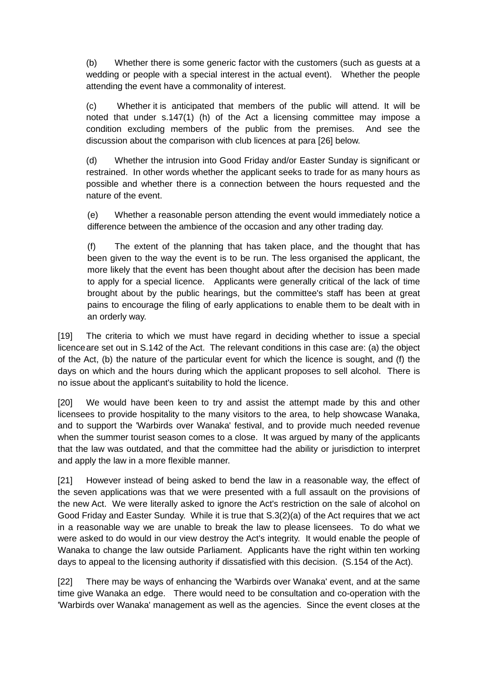(b) Whether there is some generic factor with the customers (such as guests at a wedding or people with a special interest in the actual event). Whether the people attending the event have a commonality of interest.

(c) Whether it is anticipated that members of the public will attend. It will be noted that under s.147(1) (h) of the Act a licensing committee may impose a condition excluding members of the public from the premises. And see the discussion about the comparison with club licences at para [26] below.

(d) Whether the intrusion into Good Friday and/or Easter Sunday is significant or restrained. In other words whether the applicant seeks to trade for as many hours as possible and whether there is a connection between the hours requested and the nature of the event.

(e) Whether a reasonable person attending the event would immediately notice a difference between the ambience of the occasion and any other trading day.

(f) The extent of the planning that has taken place, and the thought that has been given to the way the event is to be run. The less organised the applicant, the more likely that the event has been thought about after the decision has been made to apply for a special licence. Applicants were generally critical of the lack of time brought about by the public hearings, but the committee's staff has been at great pains to encourage the filing of early applications to enable them to be dealt with in an orderly way.

[19] The criteria to which we must have regard in deciding whether to issue a special licenceare set out in S.142 of the Act. The relevant conditions in this case are: (a) the object of the Act, (b) the nature of the particular event for which the licence is sought, and (f) the days on which and the hours during which the applicant proposes to sell alcohol. There is no issue about the applicant's suitability to hold the licence.

[20] We would have been keen to try and assist the attempt made by this and other licensees to provide hospitality to the many visitors to the area, to help showcase Wanaka, and to support the 'Warbirds over Wanaka' festival, and to provide much needed revenue when the summer tourist season comes to a close. It was argued by many of the applicants that the law was outdated, and that the committee had the ability or jurisdiction to interpret and apply the law in a more flexible manner.

[21] However instead of being asked to bend the law in a reasonable way, the effect of the seven applications was that we were presented with a full assault on the provisions of the new Act. We were literally asked to ignore the Act's restriction on the sale of alcohol on Good Friday and Easter Sunday. While it is true that S.3(2)(a) of the Act requires that we act in a reasonable way we are unable to break the law to please licensees. To do what we were asked to do would in our view destroy the Act's integrity. It would enable the people of Wanaka to change the law outside Parliament. Applicants have the right within ten working days to appeal to the licensing authority if dissatisfied with this decision. (S.154 of the Act).

[22] There may be ways of enhancing the 'Warbirds over Wanaka' event, and at the same time give Wanaka an edge. There would need to be consultation and co-operation with the 'Warbirds over Wanaka' management as well as the agencies. Since the event closes at the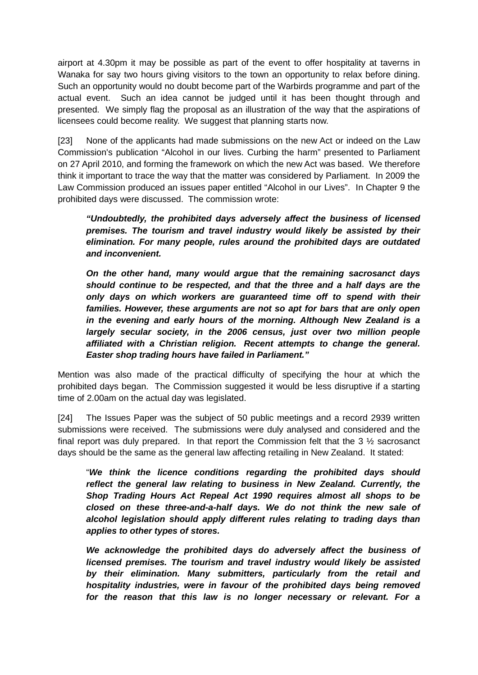airport at 4.30pm it may be possible as part of the event to offer hospitality at taverns in Wanaka for say two hours giving visitors to the town an opportunity to relax before dining. Such an opportunity would no doubt become part of the Warbirds programme and part of the actual event. Such an idea cannot be judged until it has been thought through and presented. We simply flag the proposal as an illustration of the way that the aspirations of licensees could become reality. We suggest that planning starts now.

[23] None of the applicants had made submissions on the new Act or indeed on the Law Commission's publication "Alcohol in our lives. Curbing the harm" presented to Parliament on 27 April 2010, and forming the framework on which the new Act was based. We therefore think it important to trace the way that the matter was considered by Parliament. In 2009 the Law Commission produced an issues paper entitled "Alcohol in our Lives". In Chapter 9 the prohibited days were discussed. The commission wrote:

*"Undoubtedly, the prohibited days adversely affect the business of licensed premises. The tourism and travel industry would likely be assisted by their elimination. For many people, rules around the prohibited days are outdated and inconvenient.*

*On the other hand, many would argue that the remaining sacrosanct days should continue to be respected, and that the three and a half days are the only days on which workers are guaranteed time off to spend with their families. However, these arguments are not so apt for bars that are only open in the evening and early hours of the morning. Although New Zealand is a largely secular society, in the 2006 census, just over two million people affiliated with a Christian religion. Recent attempts to change the general. Easter shop trading hours have failed in Parliament."*

Mention was also made of the practical difficulty of specifying the hour at which the prohibited days began. The Commission suggested it would be less disruptive if a starting time of 2.00am on the actual day was legislated.

[24] The Issues Paper was the subject of 50 public meetings and a record 2939 written submissions were received. The submissions were duly analysed and considered and the final report was duly prepared. In that report the Commission felt that the 3 ½ sacrosanct days should be the same as the general law affecting retailing in New Zealand. It stated:

"*We think the licence conditions regarding the prohibited days should reflect the general law relating to business in New Zealand. Currently, the Shop Trading Hours Act Repeal Act 1990 requires almost all shops to be closed on these three-and-a-half days. We do not think the new sale of alcohol legislation should apply different rules relating to trading days than applies to other types of stores.*

*We acknowledge the prohibited days do adversely affect the business of licensed premises. The tourism and travel industry would likely be assisted by their elimination. Many submitters, particularly from the retail and hospitality industries, were in favour of the prohibited days being removed for the reason that this law is no longer necessary or relevant. For a*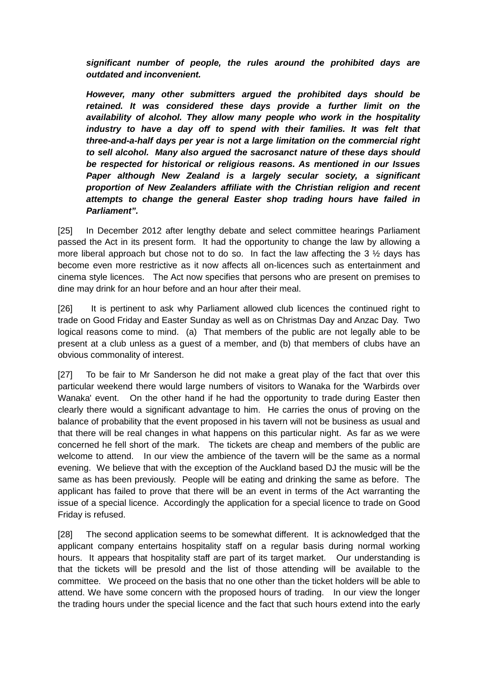*significant number of people, the rules around the prohibited days are outdated and inconvenient.*

*However, many other submitters argued the prohibited days should be retained. It was considered these days provide a further limit on the availability of alcohol. They allow many people who work in the hospitality*  industry to have a day off to spend with their families. It was felt that *three-and-a-half days per year is not a large limitation on the commercial right to sell alcohol. Many also argued the sacrosanct nature of these days should be respected for historical or religious reasons. As mentioned in our Issues Paper although New Zealand is a largely secular society, a significant proportion of New Zealanders affiliate with the Christian religion and recent attempts to change the general Easter shop trading hours have failed in Parliament".*

[25] In December 2012 after lengthy debate and select committee hearings Parliament passed the Act in its present form. It had the opportunity to change the law by allowing a more liberal approach but chose not to do so. In fact the law affecting the 3 ½ days has become even more restrictive as it now affects all on-licences such as entertainment and cinema style licences. The Act now specifies that persons who are present on premises to dine may drink for an hour before and an hour after their meal.

[26] It is pertinent to ask why Parliament allowed club licences the continued right to trade on Good Friday and Easter Sunday as well as on Christmas Day and Anzac Day. Two logical reasons come to mind. (a) That members of the public are not legally able to be present at a club unless as a guest of a member, and (b) that members of clubs have an obvious commonality of interest.

[27] To be fair to Mr Sanderson he did not make a great play of the fact that over this particular weekend there would large numbers of visitors to Wanaka for the 'Warbirds over Wanaka' event. On the other hand if he had the opportunity to trade during Easter then clearly there would a significant advantage to him. He carries the onus of proving on the balance of probability that the event proposed in his tavern will not be business as usual and that there will be real changes in what happens on this particular night. As far as we were concerned he fell short of the mark. The tickets are cheap and members of the public are welcome to attend. In our view the ambience of the tavern will be the same as a normal evening. We believe that with the exception of the Auckland based DJ the music will be the same as has been previously. People will be eating and drinking the same as before. The applicant has failed to prove that there will be an event in terms of the Act warranting the issue of a special licence. Accordingly the application for a special licence to trade on Good Friday is refused.

[28] The second application seems to be somewhat different. It is acknowledged that the applicant company entertains hospitality staff on a regular basis during normal working hours. It appears that hospitality staff are part of its target market. Our understanding is that the tickets will be presold and the list of those attending will be available to the committee. We proceed on the basis that no one other than the ticket holders will be able to attend. We have some concern with the proposed hours of trading. In our view the longer the trading hours under the special licence and the fact that such hours extend into the early